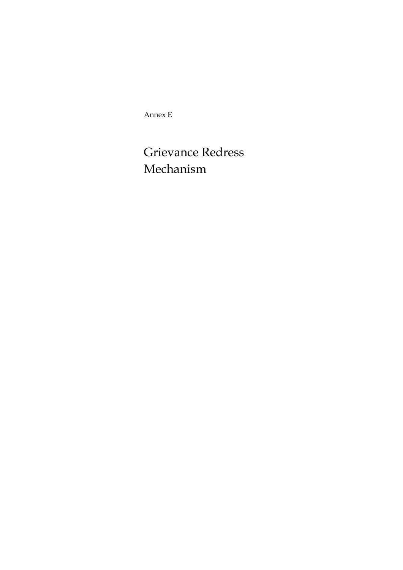Annex E

Grievance Redress Mechanism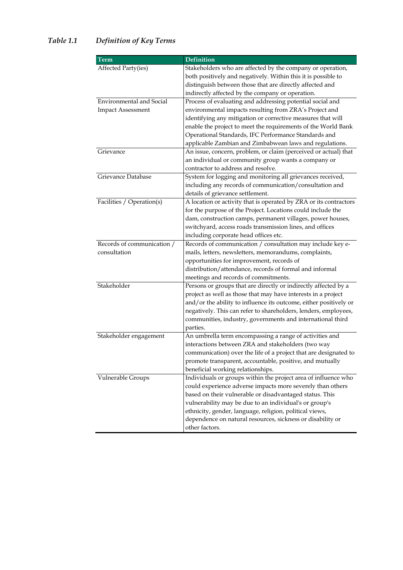# *Table 1.1 Definition of Key Terms*

| Term                            | <b>Definition</b>                                                 |
|---------------------------------|-------------------------------------------------------------------|
| Affected Party(ies)             | Stakeholders who are affected by the company or operation,        |
|                                 | both positively and negatively. Within this it is possible to     |
|                                 | distinguish between those that are directly affected and          |
|                                 | indirectly affected by the company or operation.                  |
| <b>Environmental and Social</b> | Process of evaluating and addressing potential social and         |
| <b>Impact Assessment</b>        | environmental impacts resulting from ZRA's Project and            |
|                                 | identifying any mitigation or corrective measures that will       |
|                                 | enable the project to meet the requirements of the World Bank     |
|                                 | Operational Standards, IFC Performance Standards and              |
|                                 | applicable Zambian and Zimbabwean laws and regulations.           |
| Grievance                       | An issue, concern, problem, or claim (perceived or actual) that   |
|                                 | an individual or community group wants a company or               |
|                                 | contractor to address and resolve.                                |
| Grievance Database              | System for logging and monitoring all grievances received,        |
|                                 | including any records of communication/consultation and           |
|                                 | details of grievance settlement.                                  |
| Facilities / Operation(s)       | A location or activity that is operated by ZRA or its contractors |
|                                 | for the purpose of the Project. Locations could include the       |
|                                 | dam, construction camps, permanent villages, power houses,        |
|                                 | switchyard, access roads transmission lines, and offices          |
|                                 | including corporate head offices etc.                             |
| Records of communication /      | Records of communication / consultation may include key e-        |
| consultation                    | mails, letters, newsletters, memorandums, complaints,             |
|                                 | opportunities for improvement, records of                         |
|                                 | distribution/attendance, records of formal and informal           |
|                                 | meetings and records of commitments.                              |
| Stakeholder                     | Persons or groups that are directly or indirectly affected by a   |
|                                 | project as well as those that may have interests in a project     |
|                                 | and/or the ability to influence its outcome, either positively or |
|                                 | negatively. This can refer to shareholders, lenders, employees,   |
|                                 | communities, industry, governments and international third        |
|                                 | parties.                                                          |
| Stakeholder engagement          | An umbrella term encompassing a range of activities and           |
|                                 | interactions between ZRA and stakeholders (two way                |
|                                 | communication) over the life of a project that are designated to  |
|                                 | promote transparent, accountable, positive, and mutually          |
|                                 | beneficial working relationships.                                 |
| Vulnerable Groups               | Individuals or groups within the project area of influence who    |
|                                 | could experience adverse impacts more severely than others        |
|                                 | based on their vulnerable or disadvantaged status. This           |
|                                 | vulnerability may be due to an individual's or group's            |
|                                 | ethnicity, gender, language, religion, political views,           |
|                                 | dependence on natural resources, sickness or disability or        |
|                                 | other factors.                                                    |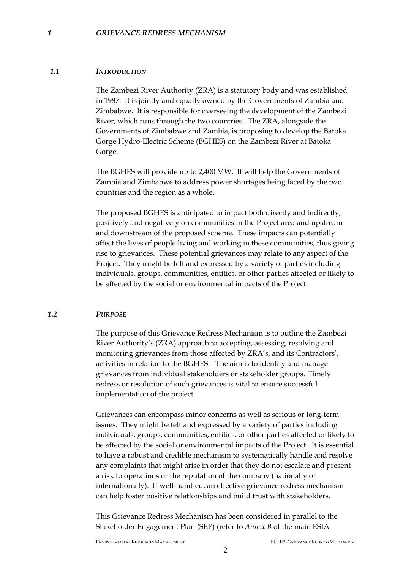#### *1 GRIEVANCE REDRESS MECHANISM*

#### *1.1 INTRODUCTION*

The Zambezi River Authority (ZRA) is a statutory body and was established in 1987. It is jointly and equally owned by the Governments of Zambia and Zimbabwe. It is responsible for overseeing the development of the Zambezi River, which runs through the two countries. The ZRA, alongside the Governments of Zimbabwe and Zambia, is proposing to develop the Batoka Gorge Hydro-Electric Scheme (BGHES) on the Zambezi River at Batoka Gorge.

The BGHES will provide up to 2,400 MW. It will help the Governments of Zambia and Zimbabwe to address power shortages being faced by the two countries and the region as a whole.

The proposed BGHES is anticipated to impact both directly and indirectly, positively and negatively on communities in the Project area and upstream and downstream of the proposed scheme. These impacts can potentially affect the lives of people living and working in these communities, thus giving rise to grievances. These potential grievances may relate to any aspect of the Project. They might be felt and expressed by a variety of parties including individuals, groups, communities, entities, or other parties affected or likely to be affected by the social or environmental impacts of the Project.

#### *1.2 PURPOSE*

The purpose of this Grievance Redress Mechanism is to outline the Zambezi River Authority's (ZRA) approach to accepting, assessing, resolving and monitoring grievances from those affected by ZRA's, and its Contractors', activities in relation to the BGHES. The aim is to identify and manage grievances from individual stakeholders or stakeholder groups. Timely redress or resolution of such grievances is vital to ensure successful implementation of the project

Grievances can encompass minor concerns as well as serious or long-term issues. They might be felt and expressed by a variety of parties including individuals, groups, communities, entities, or other parties affected or likely to be affected by the social or environmental impacts of the Project. It is essential to have a robust and credible mechanism to systematically handle and resolve any complaints that might arise in order that they do not escalate and present a risk to operations or the reputation of the company (nationally or internationally). If well-handled, an effective grievance redress mechanism can help foster positive relationships and build trust with stakeholders.

This Grievance Redress Mechanism has been considered in parallel to the Stakeholder Engagement Plan (SEP) (refer to *Annex B* of the main ESIA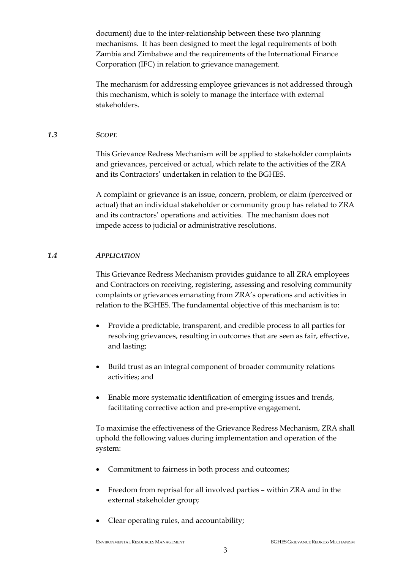document) due to the inter-relationship between these two planning mechanisms. It has been designed to meet the legal requirements of both Zambia and Zimbabwe and the requirements of the International Finance Corporation (IFC) in relation to grievance management.

The mechanism for addressing employee grievances is not addressed through this mechanism, which is solely to manage the interface with external stakeholders.

# *1.3 SCOPE*

This Grievance Redress Mechanism will be applied to stakeholder complaints and grievances, perceived or actual, which relate to the activities of the ZRA and its Contractors' undertaken in relation to the BGHES.

A complaint or grievance is an issue, concern, problem, or claim (perceived or actual) that an individual stakeholder or community group has related to ZRA and its contractors' operations and activities. The mechanism does not impede access to judicial or administrative resolutions.

# *1.4 APPLICATION*

This Grievance Redress Mechanism provides guidance to all ZRA employees and Contractors on receiving, registering, assessing and resolving community complaints or grievances emanating from ZRA's operations and activities in relation to the BGHES. The fundamental objective of this mechanism is to:

- Provide a predictable, transparent, and credible process to all parties for resolving grievances, resulting in outcomes that are seen as fair, effective, and lasting;
- Build trust as an integral component of broader community relations activities; and
- Enable more systematic identification of emerging issues and trends, facilitating corrective action and pre-emptive engagement.

To maximise the effectiveness of the Grievance Redress Mechanism, ZRA shall uphold the following values during implementation and operation of the system:

- Commitment to fairness in both process and outcomes;
- Freedom from reprisal for all involved parties within ZRA and in the external stakeholder group;
- Clear operating rules, and accountability;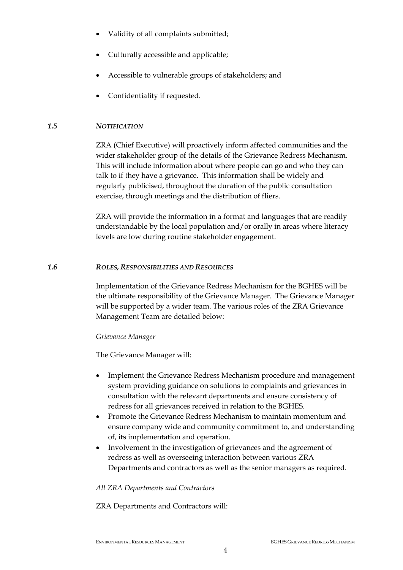- Validity of all complaints submitted;
- Culturally accessible and applicable;
- Accessible to vulnerable groups of stakeholders; and
- Confidentiality if requested.

# *1.5 NOTIFICATION*

ZRA (Chief Executive) will proactively inform affected communities and the wider stakeholder group of the details of the Grievance Redress Mechanism. This will include information about where people can go and who they can talk to if they have a grievance. This information shall be widely and regularly publicised, throughout the duration of the public consultation exercise, through meetings and the distribution of fliers.

ZRA will provide the information in a format and languages that are readily understandable by the local population and/or orally in areas where literacy levels are low during routine stakeholder engagement.

#### *1.6 ROLES, RESPONSIBILITIES AND RESOURCES*

Implementation of the Grievance Redress Mechanism for the BGHES will be the ultimate responsibility of the Grievance Manager. The Grievance Manager will be supported by a wider team. The various roles of the ZRA Grievance Management Team are detailed below:

# *Grievance Manager*

The Grievance Manager will:

- Implement the Grievance Redress Mechanism procedure and management system providing guidance on solutions to complaints and grievances in consultation with the relevant departments and ensure consistency of redress for all grievances received in relation to the BGHES.
- Promote the Grievance Redress Mechanism to maintain momentum and ensure company wide and community commitment to, and understanding of, its implementation and operation.
- Involvement in the investigation of grievances and the agreement of redress as well as overseeing interaction between various ZRA Departments and contractors as well as the senior managers as required.

# *All ZRA Departments and Contractors*

ZRA Departments and Contractors will: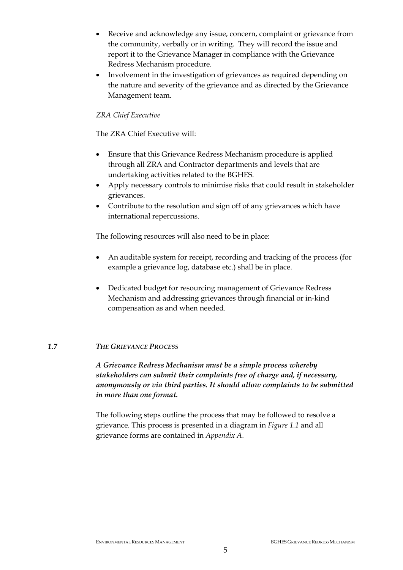- Receive and acknowledge any issue, concern, complaint or grievance from the community, verbally or in writing. They will record the issue and report it to the Grievance Manager in compliance with the Grievance Redress Mechanism procedure.
- Involvement in the investigation of grievances as required depending on the nature and severity of the grievance and as directed by the Grievance Management team.

# *ZRA Chief Executive*

The ZRA Chief Executive will:

- Ensure that this Grievance Redress Mechanism procedure is applied through all ZRA and Contractor departments and levels that are undertaking activities related to the BGHES.
- Apply necessary controls to minimise risks that could result in stakeholder grievances.
- Contribute to the resolution and sign off of any grievances which have international repercussions.

The following resources will also need to be in place:

- An auditable system for receipt, recording and tracking of the process (for example a grievance log, database etc.) shall be in place.
- Dedicated budget for resourcing management of Grievance Redress Mechanism and addressing grievances through financial or in-kind compensation as and when needed.

# *1.7 THE GRIEVANCE PROCESS*

*A Grievance Redress Mechanism must be a simple process whereby stakeholders can submit their complaints free of charge and, if necessary, anonymously or via third parties. It should allow complaints to be submitted in more than one format.* 

The following steps outline the process that may be followed to resolve a grievance. This process is presented in a diagram in *Figure 1.1* and all grievance forms are contained in *Appendix A.*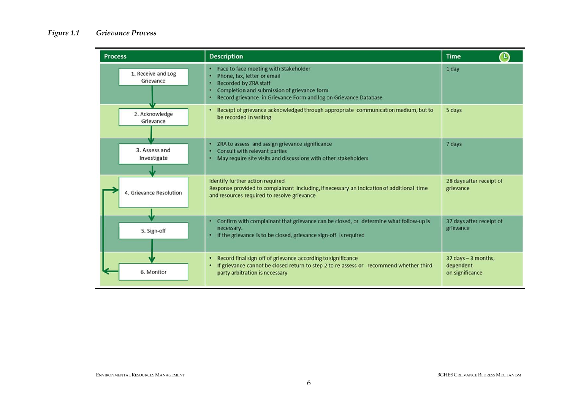# *Figure 1.1 Grievance Process*

| <b>Process</b>                  | <b>Description</b>                                                                                                                                                                                                      | <b>Time</b>                                         |
|---------------------------------|-------------------------------------------------------------------------------------------------------------------------------------------------------------------------------------------------------------------------|-----------------------------------------------------|
| 1. Receive and Log<br>Grievance | Face to face meeting with Stakeholder<br>Phone, fax, letter or email<br><b>Recorded by ZRA staff</b><br>Completion and submission of grievance form<br>Record grievance in Grievance Form and log on Grievance Database | 1 day                                               |
| 2. Acknowledge<br>Grievance     | Receipt of grievance acknowledged through appropriate communication medium, but to<br>be recorded in writing                                                                                                            | 5 days                                              |
| 3. Assess and<br>Investigate    | ZRA to assess and assign grievance significance<br>۰<br>Consult with relevant parties<br>May require site visits and discussions with other stakeholders                                                                | 7 days                                              |
| 4. Grievance Resolution         | Identify further action required<br>Response provided to complainant including, if necessary an indication of additional time<br>and resources required to resolve grievance                                            | 28 days after receipt of<br>grievance               |
| 5. Sign-off                     | Confirm with complainant that grievance can be closed, or determine what follow-up is<br>۰<br>necessary.<br>If the grievance is to be closed, grievance sign-off is required<br>٠                                       | 37 days after receipt of<br>grievance               |
| 6. Monitor                      | Record final sign-off of grievance according to significance<br>If grievance cannot be closed return to step 2 to re-assess or recommend whether third-<br>party arbitration is necessary                               | 37 days - 3 months,<br>dependent<br>on significance |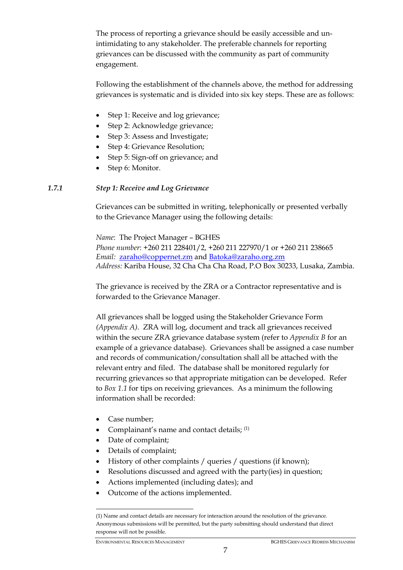The process of reporting a grievance should be easily accessible and unintimidating to any stakeholder. The preferable channels for reporting grievances can be discussed with the community as part of community engagement.

Following the establishment of the channels above, the method for addressing grievances is systematic and is divided into six key steps. These are as follows:

- Step 1: Receive and log grievance;
- Step 2: Acknowledge grievance;
- Step 3: Assess and Investigate;
- Step 4: Grievance Resolution;
- Step 5: Sign-off on grievance; and
- Step 6: Monitor.

# *1.7.1 Step 1: Receive and Log Grievance*

Grievances can be submitted in writing, telephonically or presented verbally to the Grievance Manager using the following details:

*Name*: The Project Manager – BGHES *Phone number*: +260 211 228401/2, +260 211 227970/1 or +260 211 238665 *Email:* zaraho@coppernet.zm and Batoka@zaraho.org.zm *Address:* Kariba House, 32 Cha Cha Cha Road, P.O Box 30233, Lusaka, Zambia.

The grievance is received by the ZRA or a Contractor representative and is forwarded to the Grievance Manager.

All grievances shall be logged using the Stakeholder Grievance Form *(Appendix A).* ZRA will log, document and track all grievances received within the secure ZRA grievance database system (refer to *Appendix B* for an example of a grievance database). Grievances shall be assigned a case number and records of communication/consultation shall all be attached with the relevant entry and filed. The database shall be monitored regularly for recurring grievances so that appropriate mitigation can be developed. Refer to *Box 1.1* for tips on receiving grievances. As a minimum the following information shall be recorded:

• Case number:

<u>.</u>

- Complainant's name and contact details;  $(1)$
- Date of complaint;
- Details of complaint;
- History of other complaints / queries / questions (if known);
- Resolutions discussed and agreed with the party(ies) in question;
- Actions implemented (including dates); and
- Outcome of the actions implemented.

<sup>(1)</sup> Name and contact details are necessary for interaction around the resolution of the grievance. Anonymous submissions will be permitted, but the party submitting should understand that direct response will not be possible.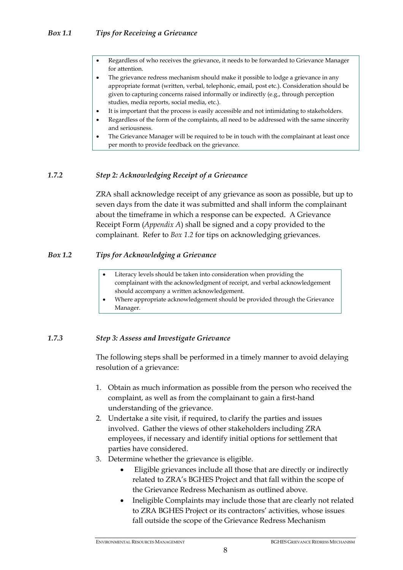- Regardless of who receives the grievance, it needs to be forwarded to Grievance Manager for attention.
- The grievance redress mechanism should make it possible to lodge a grievance in any appropriate format (written, verbal, telephonic, email, post etc.). Consideration should be given to capturing concerns raised informally or indirectly (e.g., through perception studies, media reports, social media, etc.).
- It is important that the process is easily accessible and not intimidating to stakeholders.
- Regardless of the form of the complaints, all need to be addressed with the same sincerity and seriousness.
- The Grievance Manager will be required to be in touch with the complainant at least once per month to provide feedback on the grievance.

#### *1.7.2 Step 2: Acknowledging Receipt of a Grievance*

ZRA shall acknowledge receipt of any grievance as soon as possible, but up to seven days from the date it was submitted and shall inform the complainant about the timeframe in which a response can be expected. A Grievance Receipt Form (*Appendix A*) shall be signed and a copy provided to the complainant. Refer to *Box 1.2* for tips on acknowledging grievances.

# *Box 1.2 Tips for Acknowledging a Grievance*

- Literacy levels should be taken into consideration when providing the complainant with the acknowledgment of receipt, and verbal acknowledgement should accompany a written acknowledgement.
- Where appropriate acknowledgement should be provided through the Grievance Manager.

# *1.7.3 Step 3: Assess and Investigate Grievance*

The following steps shall be performed in a timely manner to avoid delaying resolution of a grievance:

- 1. Obtain as much information as possible from the person who received the complaint, as well as from the complainant to gain a first-hand understanding of the grievance.
- 2. Undertake a site visit, if required, to clarify the parties and issues involved. Gather the views of other stakeholders including ZRA employees, if necessary and identify initial options for settlement that parties have considered.
- 3. Determine whether the grievance is eligible.
	- Eligible grievances include all those that are directly or indirectly related to ZRA's BGHES Project and that fall within the scope of the Grievance Redress Mechanism as outlined above.
	- Ineligible Complaints may include those that are clearly not related to ZRA BGHES Project or its contractors' activities, whose issues fall outside the scope of the Grievance Redress Mechanism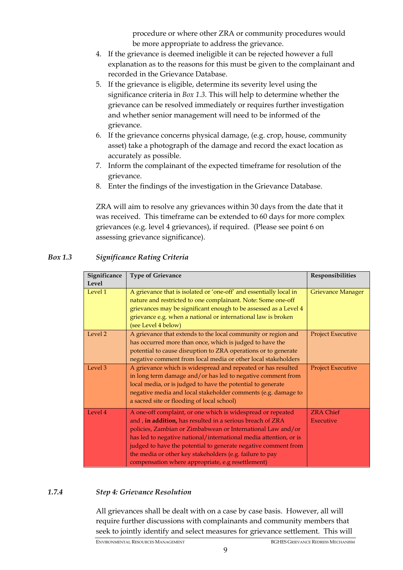procedure or where other ZRA or community procedures would be more appropriate to address the grievance.

- 4. If the grievance is deemed ineligible it can be rejected however a full explanation as to the reasons for this must be given to the complainant and recorded in the Grievance Database.
- 5. If the grievance is eligible, determine its severity level using the significance criteria in *Box 1.3*. This will help to determine whether the grievance can be resolved immediately or requires further investigation and whether senior management will need to be informed of the grievance.
- 6. If the grievance concerns physical damage, (e.g. crop, house, community asset) take a photograph of the damage and record the exact location as accurately as possible.
- 7. Inform the complainant of the expected timeframe for resolution of the grievance.
- 8. Enter the findings of the investigation in the Grievance Database.

ZRA will aim to resolve any grievances within 30 days from the date that it was received. This timeframe can be extended to 60 days for more complex grievances (e.g. level 4 grievances), if required. (Please see point 6 on assessing grievance significance).

| Significance | <b>Type of Grievance</b>                                                                                                                                                                                                                                                                                                                                                                                                                        | Responsibilities              |
|--------------|-------------------------------------------------------------------------------------------------------------------------------------------------------------------------------------------------------------------------------------------------------------------------------------------------------------------------------------------------------------------------------------------------------------------------------------------------|-------------------------------|
| Level        |                                                                                                                                                                                                                                                                                                                                                                                                                                                 |                               |
| Level 1      | A grievance that is isolated or 'one-off' and essentially local in<br>nature and restricted to one complainant. Note: Some one-off<br>grievances may be significant enough to be assessed as a Level 4<br>grievance e.g. when a national or international law is broken<br>(see Level 4 below)                                                                                                                                                  | <b>Grievance Manager</b>      |
| Level 2      | A grievance that extends to the local community or region and<br>has occurred more than once, which is judged to have the<br>potential to cause disruption to ZRA operations or to generate<br>negative comment from local media or other local stakeholders                                                                                                                                                                                    | <b>Project Executive</b>      |
| Level 3      | A grievance which is widespread and repeated or has resulted<br>in long term damage and/or has led to negative comment from<br>local media, or is judged to have the potential to generate<br>negative media and local stakeholder comments (e.g. damage to<br>a sacred site or flooding of local school)                                                                                                                                       | <b>Project Executive</b>      |
| Level 4      | A one-off complaint, or one which is widespread or repeated<br>and, in addition, has resulted in a serious breach of ZRA<br>policies, Zambian or Zimbabwean or International Law and/or<br>has led to negative national/international media attention, or is<br>judged to have the potential to generate negative comment from<br>the media or other key stakeholders (e.g. failure to pay<br>compensation where appropriate, e.g resettlement) | <b>ZRA Chief</b><br>Executive |

# *Box 1.3 Significance Rating Criteria*

# *1.7.4 Step 4: Grievance Resolution*

All grievances shall be dealt with on a case by case basis. However, all will require further discussions with complainants and community members that seek to jointly identify and select measures for grievance settlement. This will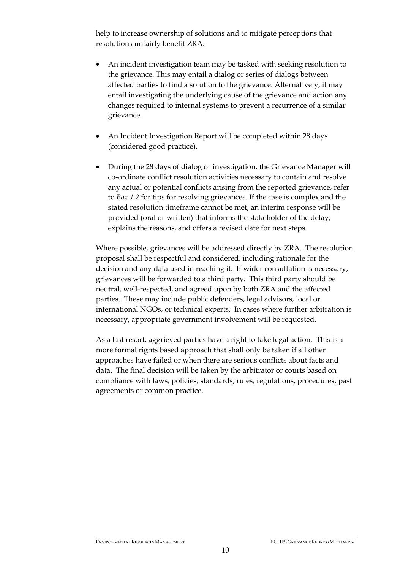help to increase ownership of solutions and to mitigate perceptions that resolutions unfairly benefit ZRA.

- An incident investigation team may be tasked with seeking resolution to the grievance. This may entail a dialog or series of dialogs between affected parties to find a solution to the grievance. Alternatively, it may entail investigating the underlying cause of the grievance and action any changes required to internal systems to prevent a recurrence of a similar grievance.
- An Incident Investigation Report will be completed within 28 days (considered good practice).
- During the 28 days of dialog or investigation, the Grievance Manager will co-ordinate conflict resolution activities necessary to contain and resolve any actual or potential conflicts arising from the reported grievance, refer to *Box 1.2* for tips for resolving grievances. If the case is complex and the stated resolution timeframe cannot be met, an interim response will be provided (oral or written) that informs the stakeholder of the delay, explains the reasons, and offers a revised date for next steps.

Where possible, grievances will be addressed directly by ZRA. The resolution proposal shall be respectful and considered, including rationale for the decision and any data used in reaching it. If wider consultation is necessary, grievances will be forwarded to a third party. This third party should be neutral, well-respected, and agreed upon by both ZRA and the affected parties. These may include public defenders, legal advisors, local or international NGOs, or technical experts. In cases where further arbitration is necessary, appropriate government involvement will be requested.

As a last resort, aggrieved parties have a right to take legal action. This is a more formal rights based approach that shall only be taken if all other approaches have failed or when there are serious conflicts about facts and data. The final decision will be taken by the arbitrator or courts based on compliance with laws, policies, standards, rules, regulations, procedures, past agreements or common practice.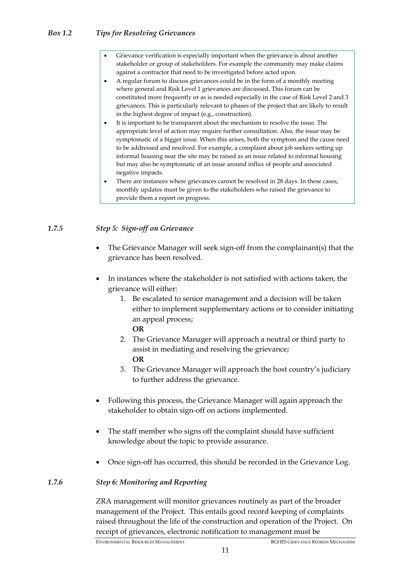# *Box 1.2 Tips for Resolving Grievances*

- Grievance verification is especially important when the grievance is about another stakeholder or group of stakeholders. For example the community may make claims against a contractor that need to be investigated before acted upon.
- A regular forum to discuss grievances could be in the form of a monthly meeting where general and Risk Level 1 grievances are discussed. This forum can be constituted more frequently or as is needed especially in the case of Risk Level 2 and 3 grievances. This is particularly relevant to phases of the project that are likely to result in the highest degree of impact (e.g., construction).
- It is important to be transparent about the mechanism to resolve the issue. The appropriate level of action may require further consultation. Also, the issue may be symptomatic of a bigger issue. When this arises, both the symptom and the cause need to be addressed and resolved. For example, a complaint about job seekers setting up informal housing near the site may be raised as an issue related to informal housing but may also be symptomatic of an issue around influx of people and associated negative impacts.
- There are instances where grievances cannot be resolved in 28 days. In these cases, monthly updates must be given to the stakeholders who raised the grievance to provide them a report on progress.

# *1.7.5 Step 5: Sign-off on Grievance*

- The Grievance Manager will seek sign-off from the complainant(s) that the grievance has been resolved.
- In instances where the stakeholder is not satisfied with actions taken, the grievance will either:
	- 1. Be escalated to senior management and a decision will be taken either to implement supplementary actions or to consider initiating an appeal process; **OR**
	- 2. The Grievance Manager will approach a neutral or third party to assist in mediating and resolving the grievance; **OR**
	- 3. The Grievance Manager will approach the host country's judiciary to further address the grievance.
- Following this process, the Grievance Manager will again approach the stakeholder to obtain sign-off on actions implemented.
- The staff member who signs off the complaint should have sufficient knowledge about the topic to provide assurance.
- Once sign-off has occurred, this should be recorded in the Grievance Log.

# *1.7.6 Step 6: Monitoring and Reporting*

ZRA management will monitor grievances routinely as part of the broader management of the Project. This entails good record keeping of complaints raised throughout the life of the construction and operation of the Project. On receipt of grievances, electronic notification to management must be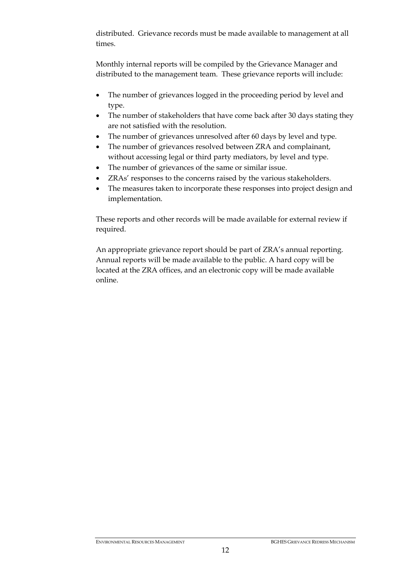distributed. Grievance records must be made available to management at all times.

Monthly internal reports will be compiled by the Grievance Manager and distributed to the management team. These grievance reports will include:

- The number of grievances logged in the proceeding period by level and type.
- The number of stakeholders that have come back after 30 days stating they are not satisfied with the resolution.
- The number of grievances unresolved after 60 days by level and type.
- The number of grievances resolved between ZRA and complainant, without accessing legal or third party mediators, by level and type.
- The number of grievances of the same or similar issue.
- ZRAs' responses to the concerns raised by the various stakeholders.
- The measures taken to incorporate these responses into project design and implementation.

These reports and other records will be made available for external review if required.

An appropriate grievance report should be part of ZRA's annual reporting. Annual reports will be made available to the public. A hard copy will be located at the ZRA offices, and an electronic copy will be made available online.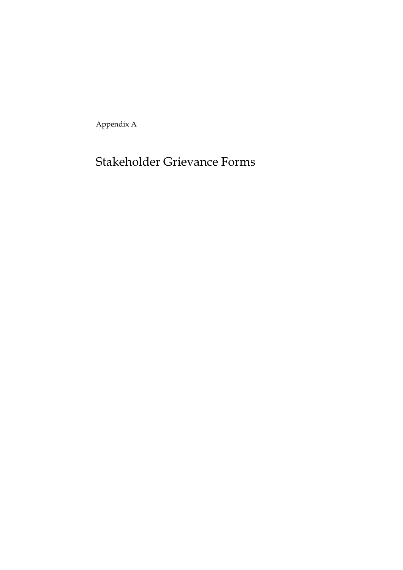Appendix A

# Stakeholder Grievance Forms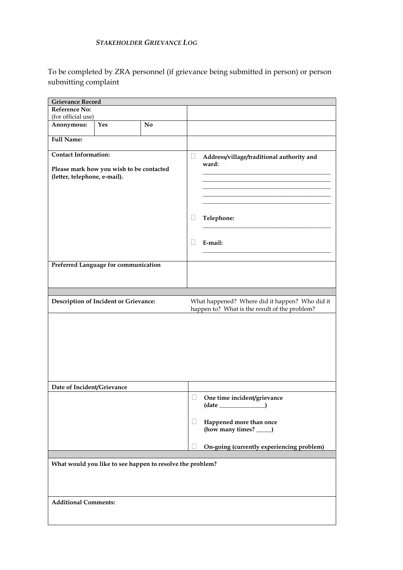# *STAKEHOLDER GRIEVANCE LOG*

To be completed by ZRA personnel (if grievance being submitted in person) or person submitting complaint

| <b>Grievance Record</b>                                                                                 |                                       |                                                           |                          |                                                                                                 |
|---------------------------------------------------------------------------------------------------------|---------------------------------------|-----------------------------------------------------------|--------------------------|-------------------------------------------------------------------------------------------------|
| Reference No:                                                                                           |                                       |                                                           |                          |                                                                                                 |
| (for official use)                                                                                      |                                       |                                                           |                          |                                                                                                 |
| Anonymous:                                                                                              | Yes                                   | No                                                        |                          |                                                                                                 |
| <b>Full Name:</b>                                                                                       |                                       |                                                           |                          |                                                                                                 |
| <b>Contact Information:</b><br>Please mark how you wish to be contacted<br>(letter, telephone, e-mail). |                                       |                                                           | Ц                        | Address/village/traditional authority and<br>ward:                                              |
|                                                                                                         |                                       |                                                           | $\overline{\phantom{a}}$ | Telephone:                                                                                      |
|                                                                                                         |                                       |                                                           |                          | E-mail:                                                                                         |
|                                                                                                         | Preferred Language for communication  |                                                           |                          |                                                                                                 |
|                                                                                                         |                                       |                                                           |                          |                                                                                                 |
|                                                                                                         | Description of Incident or Grievance: |                                                           |                          | What happened? Where did it happen? Who did it<br>happen to? What is the result of the problem? |
|                                                                                                         |                                       |                                                           |                          |                                                                                                 |
| Date of Incident/Grievance                                                                              |                                       |                                                           |                          |                                                                                                 |
|                                                                                                         |                                       |                                                           |                          | One time incident/grievance<br>Happened more than once                                          |
|                                                                                                         |                                       |                                                           |                          | (how many times? _                                                                              |
|                                                                                                         |                                       |                                                           |                          | On-going (currently experiencing problem)                                                       |
|                                                                                                         |                                       |                                                           |                          |                                                                                                 |
|                                                                                                         |                                       | What would you like to see happen to resolve the problem? |                          |                                                                                                 |
| <b>Additional Comments:</b>                                                                             |                                       |                                                           |                          |                                                                                                 |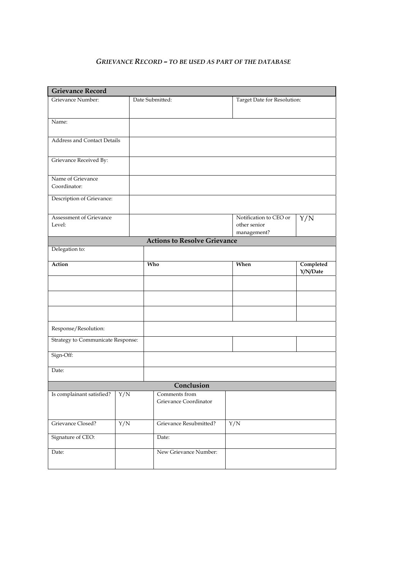#### *GRIEVANCE RECORD – TO BE USED AS PART OF THE DATABASE*

| <b>Grievance Record</b>                  |                  |                                     |      |                             |                       |  |  |  |  |
|------------------------------------------|------------------|-------------------------------------|------|-----------------------------|-----------------------|--|--|--|--|
| Grievance Number:                        |                  | Date Submitted:                     |      | Target Date for Resolution: |                       |  |  |  |  |
|                                          |                  |                                     |      |                             |                       |  |  |  |  |
| Name:                                    |                  |                                     |      |                             |                       |  |  |  |  |
|                                          |                  |                                     |      |                             |                       |  |  |  |  |
| <b>Address and Contact Details</b>       |                  |                                     |      |                             |                       |  |  |  |  |
|                                          |                  |                                     |      |                             |                       |  |  |  |  |
| Grievance Received By:                   |                  |                                     |      |                             |                       |  |  |  |  |
| Name of Grievance                        |                  |                                     |      |                             |                       |  |  |  |  |
| Coordinator:                             |                  |                                     |      |                             |                       |  |  |  |  |
| Description of Grievance:                |                  |                                     |      |                             |                       |  |  |  |  |
|                                          |                  |                                     |      |                             |                       |  |  |  |  |
| Assessment of Grievance                  |                  |                                     |      | Notification to CEO or      | Y/N                   |  |  |  |  |
| Level:                                   |                  |                                     |      | other senior                |                       |  |  |  |  |
|                                          |                  |                                     |      | management?                 |                       |  |  |  |  |
|                                          |                  | <b>Actions to Resolve Grievance</b> |      |                             |                       |  |  |  |  |
| Delegation to:                           |                  |                                     |      |                             |                       |  |  |  |  |
| <b>Action</b>                            |                  | Who                                 | When |                             | Completed<br>Y/N/Date |  |  |  |  |
|                                          |                  |                                     |      |                             |                       |  |  |  |  |
|                                          |                  |                                     |      |                             |                       |  |  |  |  |
|                                          |                  |                                     |      |                             |                       |  |  |  |  |
|                                          |                  |                                     |      |                             |                       |  |  |  |  |
|                                          |                  |                                     |      |                             |                       |  |  |  |  |
| Response/Resolution:                     |                  |                                     |      |                             |                       |  |  |  |  |
| <b>Strategy to Communicate Response:</b> |                  |                                     |      |                             |                       |  |  |  |  |
| Sign-Off:                                |                  |                                     |      |                             |                       |  |  |  |  |
|                                          |                  |                                     |      |                             |                       |  |  |  |  |
| Date:                                    |                  |                                     |      |                             |                       |  |  |  |  |
|                                          |                  | Conclusion                          |      |                             |                       |  |  |  |  |
| Is complainant satisfied?                | Y/N              | Comments from                       |      |                             |                       |  |  |  |  |
|                                          |                  | Grievance Coordinator               |      |                             |                       |  |  |  |  |
|                                          |                  |                                     |      |                             |                       |  |  |  |  |
| Grievance Closed?                        | $\overline{Y/N}$ | Grievance Resubmitted?              | Y/N  |                             |                       |  |  |  |  |
| Signature of CEO:                        |                  | Date:                               |      |                             |                       |  |  |  |  |
|                                          |                  | New Grievance Number:               |      |                             |                       |  |  |  |  |
| Date:                                    |                  |                                     |      |                             |                       |  |  |  |  |
|                                          |                  |                                     |      |                             |                       |  |  |  |  |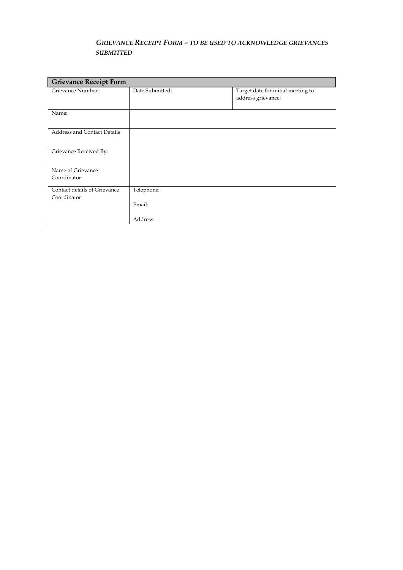# *GRIEVANCE RECEIPT FORM – TO BE USED TO ACKNOWLEDGE GRIEVANCES SUBMITTED*

| <b>Grievance Receipt Form</b>      |                 |                                                          |  |  |  |  |  |  |
|------------------------------------|-----------------|----------------------------------------------------------|--|--|--|--|--|--|
| Grievance Number:                  | Date Submitted: | Target date for initial meeting to<br>address grievance: |  |  |  |  |  |  |
| Name:                              |                 |                                                          |  |  |  |  |  |  |
| <b>Address and Contact Details</b> |                 |                                                          |  |  |  |  |  |  |
| Grievance Received By:             |                 |                                                          |  |  |  |  |  |  |
| Name of Grievance                  |                 |                                                          |  |  |  |  |  |  |
| Coordinator:                       |                 |                                                          |  |  |  |  |  |  |
| Contact details of Grievance       | Telephone:      |                                                          |  |  |  |  |  |  |
| Coordinator                        |                 |                                                          |  |  |  |  |  |  |
|                                    | Email:          |                                                          |  |  |  |  |  |  |
|                                    | Address:        |                                                          |  |  |  |  |  |  |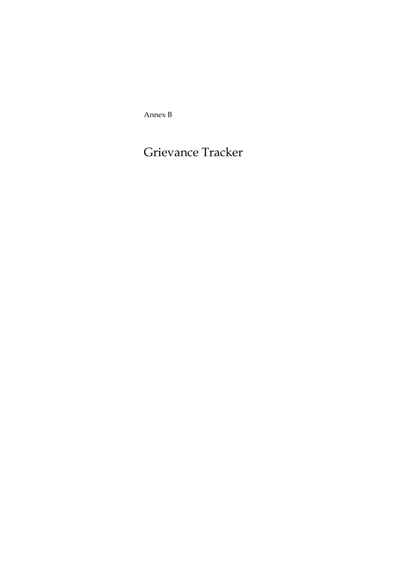Annex B

# Grievance Tracker